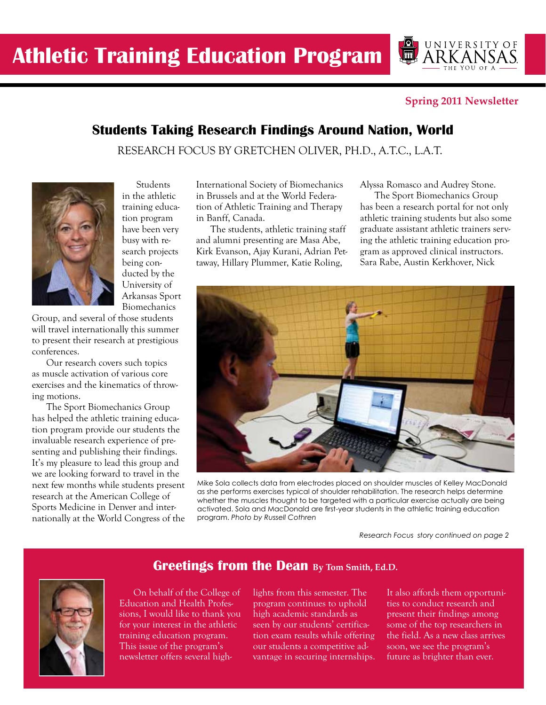#### **Spring 2011 Newsletter**

UNIVERSITYOF

### **Students Taking Research Findings Around Nation, World**

RESEARCH FOCUS BY GRETCHEN OLIVER, PH.D., A.T.C., L.A.T.



**Students** in the athletic training education program have been very busy with research projects being conducted by the University of Arkansas Sport Biomechanics

Group, and several of those students will travel internationally this summer to present their research at prestigious conferences.

Our research covers such topics as muscle activation of various core exercises and the kinematics of throwing motions.

The Sport Biomechanics Group has helped the athletic training education program provide our students the invaluable research experience of presenting and publishing their findings. It's my pleasure to lead this group and we are looking forward to travel in the next few months while students present research at the American College of Sports Medicine in Denver and internationally at the World Congress of the International Society of Biomechanics in Brussels and at the World Federation of Athletic Training and Therapy in Banff, Canada.

The students, athletic training staff and alumni presenting are Masa Abe, Kirk Evanson, Ajay Kurani, Adrian Pettaway, Hillary Plummer, Katie Roling,

Alyssa Romasco and Audrey Stone.

The Sport Biomechanics Group has been a research portal for not only athletic training students but also some graduate assistant athletic trainers serving the athletic training education program as approved clinical instructors. Sara Rabe, Austin Kerkhover, Nick



Mike Sola collects data from electrodes placed on shoulder muscles of Kelley MacDonald as she performs exercises typical of shoulder rehabilitation. The research helps determine whether the muscles thought to be targeted with a particular exercise actually are being activated. Sola and MacDonald are first-year students in the athletic training education program. *Photo by Russell Cothren*

*Research Focus story continued on page 2*

### On behalf of the College of Education and Health Profes-

sions, I would like to thank you for your interest in the athletic training education program. This issue of the program's newsletter offers several highlights from this semester. The program continues to uphold high academic standards as seen by our students' certification exam results while offering our students a competitive advantage in securing internships.

**Greetings from the Dean By Tom Smith, Ed.D.**

It also affords them opportunities to conduct research and present their findings among some of the top researchers in the field. As a new class arrives soon, we see the program's future as brighter than ever.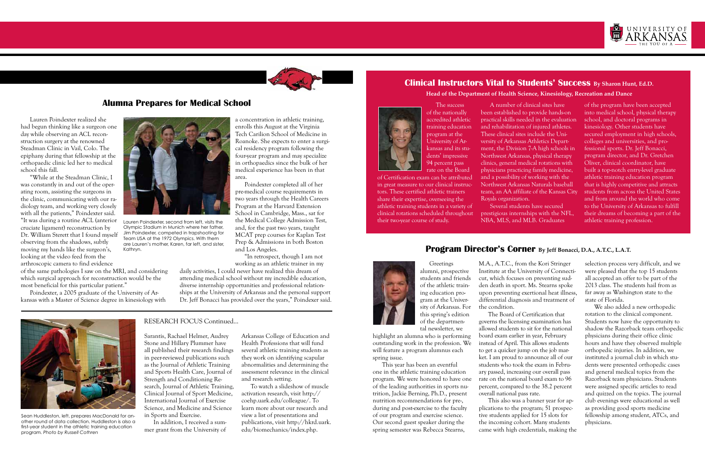

### **Alumna Prepares for Medical School**

Lauren Poindexter realized she had begun thinking like a surgeon one day while observing an ACL reconstruction surgery at the renowned Steadman Clinic in Vail, Colo. The epiphany during that fellowship at the orthopaedic clinic led her to medical school this fall.

"While at the Steadman Clinic, I was constantly in and out of the operating room, assisting the surgeons in the clinic, communicating with our radiology team, and working very closely with all the patients," Poindexter said. "It was during a routine ACL (anterior cruciate ligament) reconstruction by Dr. William Sterett that I found myself observing from the shadows, subtly moving my hands like the surgeon's, looking at the video feed from the arthroscopic camera to find evidence

Poindexter completed all of her pre-medical course requirements in two years through the Health Careers Program at the Harvard Extension School in Cambridge, Mass., sat for the Medical College Admission Test, and, for the past two years, taught MCAT prep courses for Kaplan Test Prep & Admissions in both Boston and Los Angeles. Lauren Poindexter, second from left, visits the the Medical College Admission Test, their two-year course of study. NBA, MLS, and MLB. Graduates athletic training profession.

of the same pathologies I saw on the MRI, and considering which surgical approach for reconstruction would be the most beneficial for this particular patient."

Poindexter, a 2005 graduate of the University of Arkansas with a Master of Science degree in kinesiology with a concentration in athletic training, enrolls this August at the Virginia Tech Carilion School of Medicine in Roanoke. She expects to enter a surgical residency program following the four-year program and may specialize in orthopaedics since the bulk of her medical experience has been in that area.

"In retrospect, though I am not working as an athletic trainer in my

daily activities, I could never have realized this dream of attending medical school without my incredible education, diverse internship opportunities and professional relationships at the University of Arkansas and the personal support Dr. Jeff Bonacci has provided over the years," Poindexer said.



## **Head of the Department of Health Science, Kinesiology, Recreation and Dance**



# **Clinical Instructors Vital to Students' Success By Sharon Hunt, Ed.D.**

The success of the nationally accredited athletic training education program at the University of Arkansas and its students' impressive 94 percent pass rate on the Board

of Certification exam can be attributed in great measure to our clinical instructors. These certified athletic trainers share their expertise, overseeing the athletic training students in a variety of clinical rotations scheduled throughout their two-year course of study.

A number of clinical sites have been established to provide hands-on practical skills needed in the evaluation and rehabilitation of injured athletes. These clinical sites include the University of Arkansas Athletics Department, the Division 7-A high schools in Northwest Arkansas, physical therapy clinics, general medical rotations with physicians practicing family medicine, and a possibility of working with the Northwest Arkansas Naturals baseball team, an AA affiliate of the Kansas City Royals organization.

Several students have secured prestigious internships with the NFL, NBA, MLS, and MLB. Graduates

of the program have been accepted into medical school, physical therapy school, and doctoral programs in kinesiology. Other students have secured employment in high schools, colleges and universities, and professional sports. Dr. Jeff Bonacci, program director, and Dr. Gretchen Oliver, clinical coordinator, have built a top-notch entry-level graduate athletic training education program that is highly competitive and attracts students from across the United States and from around the world who come to the University of Arkansas to fulfill their dreams of becoming a part of the



Olympic Stadium in Munich where her father, Jim Poindexter, competed in trapshooting for Team USA at the 1972 Olympics. With them are Lauren's mother, Karen, far left, and sister,

### Kathryn. **Program Director's Corner By Jeff Bonacci, D.A., A.T.C., L.A.T.**



Greetings alumni, prospective students and friends of the athletic training education program at the University of Arkansas. For this spring's edition of the departmental newsletter, we

highlight an alumna who is performing outstanding work in the profession. We will feature a program alumnus each spring issue.

This year has been an eventful one in the athletic training education program. We were honored to have one of the leading authorities in sports nutrition, Jackie Berning, Ph.D., present nutrition recommendations for pre-, during and post-exercise to the faculty of our program and exercise science. Our second guest speaker during the spring semester was Rebecca Stearns,

M.A., A.T.C., from the Kori Stringer Institute at the University of Connecticut, which focuses on preventing sudden death in sport. Ms. Stearns spoke upon preventing exertional heat illness, differential diagnosis and treatment of the condition.

The Board of Certification that governs the licensing examination has allowed students to sit for the national board exam earlier in year, February instead of April. This allows students to get a quicker jump on the job market. I am proud to announce all of our students who took the exam in February passed, increasing our overall pass rate on the national board exam to 96 percent, compared to the 38.2 percent overall national pass rate.

This also was a banner year for applications to the program; 51 prospective students applied for 15 slots for the incoming cohort. Many students came with high credentials, making the



selection process very difficult, and we were pleased that the top 15 students all accepted an offer to be part of the 2013 class. The students hail from as far away as Washington state to the state of Florida.

We also added a new orthopedic rotation to the clinical component. Students now have the opportunity to shadow the Razorback team orthopedic physicians during their office clinic hours and have they observed multiple orthopedic injuries. In addition, we instituted a journal club in which students were presented orthopedic cases and general medical topics from the Razorback team physicians. Students were assigned specific articles to read and quizzed on the topics. The journal club evenings were educational as well as providing good sports medicine fellowship among student, ATCs, and physicians.

Sarantis, Rachael Helmer, Audrey Stone and Hillary Plummer have all published their research findings in peer-reviewed publications such as the Journal of Athletic Training and Sports Health Care, Journal of Strength and Conditioning Research, Journal of Athletic Training, Clinical Journal of Sport Medicine, International Journal of Exercise Science, and Medicine and Science in Sports and Exercise.

In addition, I received a summer grant from the University of Arkansas College of Education and Health Professions that will fund several athletic training students as they work on identifying scapular abnormalities and determining the assessment relevance in the clinical and research setting.

To watch a slideshow of muscle activation research, visit http:// coehp.uark.edu/colleague/. To learn more about our research and view a list of presentations and publications, visit http://hkrd.uark. edu/biomechanics/index.php.

#### RESEARCH FOCUS Continued...

Sean Huddleston, left, prepares MacDonald for another round of data collection. Huddleston is also a first-year student in the athletic training education program. *Photo by Russell Cothren*